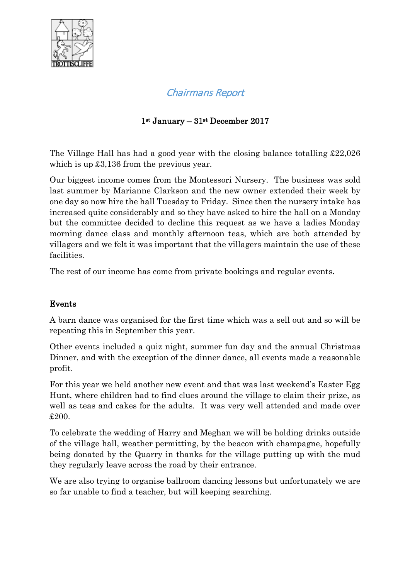

# Chairmans Report

## 1st January – 31st December 2017

The Village Hall has had a good year with the closing balance totalling £22,026 which is up  $\pounds3,136$  from the previous year.

Our biggest income comes from the Montessori Nursery. The business was sold last summer by Marianne Clarkson and the new owner extended their week by one day so now hire the hall Tuesday to Friday. Since then the nursery intake has increased quite considerably and so they have asked to hire the hall on a Monday but the committee decided to decline this request as we have a ladies Monday morning dance class and monthly afternoon teas, which are both attended by villagers and we felt it was important that the villagers maintain the use of these facilities.

The rest of our income has come from private bookings and regular events.

#### Events

A barn dance was organised for the first time which was a sell out and so will be repeating this in September this year.

Other events included a quiz night, summer fun day and the annual Christmas Dinner, and with the exception of the dinner dance, all events made a reasonable profit.

For this year we held another new event and that was last weekend's Easter Egg Hunt, where children had to find clues around the village to claim their prize, as well as teas and cakes for the adults. It was very well attended and made over £200.

To celebrate the wedding of Harry and Meghan we will be holding drinks outside of the village hall, weather permitting, by the beacon with champagne, hopefully being donated by the Quarry in thanks for the village putting up with the mud they regularly leave across the road by their entrance.

We are also trying to organise ballroom dancing lessons but unfortunately we are so far unable to find a teacher, but will keeping searching.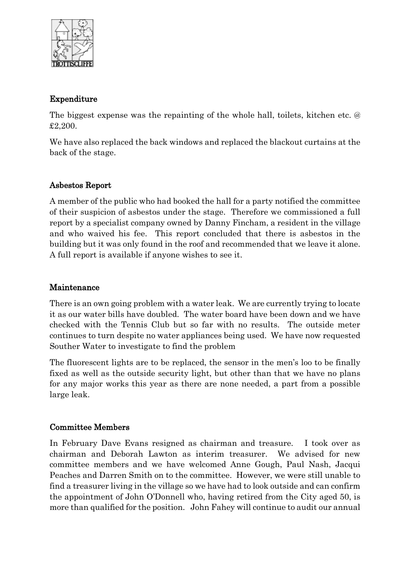

#### Expenditure

The biggest expense was the repainting of the whole hall, toilets, kitchen etc. @ £2,200.

We have also replaced the back windows and replaced the blackout curtains at the back of the stage.

#### Asbestos Report

A member of the public who had booked the hall for a party notified the committee of their suspicion of asbestos under the stage. Therefore we commissioned a full report by a specialist company owned by Danny Fincham, a resident in the village and who waived his fee. This report concluded that there is asbestos in the building but it was only found in the roof and recommended that we leave it alone. A full report is available if anyone wishes to see it.

#### Maintenance

There is an own going problem with a water leak. We are currently trying to locate it as our water bills have doubled. The water board have been down and we have checked with the Tennis Club but so far with no results. The outside meter continues to turn despite no water appliances being used. We have now requested Souther Water to investigate to find the problem

The fluorescent lights are to be replaced, the sensor in the men's loo to be finally fixed as well as the outside security light, but other than that we have no plans for any major works this year as there are none needed, a part from a possible large leak.

#### Committee Members

In February Dave Evans resigned as chairman and treasure. I took over as chairman and Deborah Lawton as interim treasurer. We advised for new committee members and we have welcomed Anne Gough, Paul Nash, Jacqui Peaches and Darren Smith on to the committee. However, we were still unable to find a treasurer living in the village so we have had to look outside and can confirm the appointment of John O'Donnell who, having retired from the City aged 50, is more than qualified for the position. John Fahey will continue to audit our annual